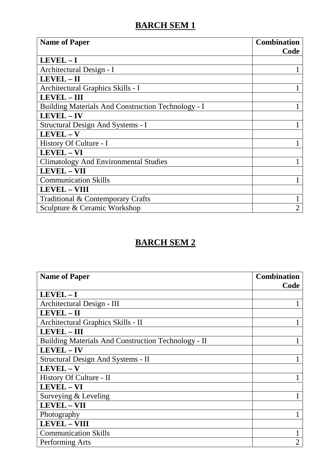| <b>Name of Paper</b>                               | <b>Combination</b><br>Code |
|----------------------------------------------------|----------------------------|
| $LEVEL - I$                                        |                            |
| Architectural Design - I                           |                            |
| LEVEL - II                                         |                            |
| Architectural Graphics Skills - I                  |                            |
| <b>LEVEL - III</b>                                 |                            |
| Building Materials And Construction Technology - I |                            |
| <b>LEVEL - IV</b>                                  |                            |
| Structural Design And Systems - I                  |                            |
| $LEVEL - V$                                        |                            |
| History Of Culture - I                             |                            |
| <b>LEVEL - VI</b>                                  |                            |
| <b>Climatology And Environmental Studies</b>       |                            |
| <b>LEVEL - VII</b>                                 |                            |
| <b>Communication Skills</b>                        |                            |
| <b>LEVEL - VIII</b>                                |                            |
| Traditional & Contemporary Crafts                  |                            |
| Sculpture & Ceramic Workshop                       | $\overline{2}$             |

| <b>Name of Paper</b>                                | <b>Combination</b><br>Code |
|-----------------------------------------------------|----------------------------|
| $LEVEL - I$                                         |                            |
| Architectural Design - III                          |                            |
| LEVEL - II                                          |                            |
| Architectural Graphics Skills - II                  |                            |
| LEVEL - III                                         |                            |
| Building Materials And Construction Technology - II |                            |
| <b>LEVEL-IV</b>                                     |                            |
| Structural Design And Systems - II                  |                            |
| $LEVEL - V$                                         |                            |
| History Of Culture - II                             |                            |
| <b>LEVEL-VI</b>                                     |                            |
| Surveying & Leveling                                |                            |
| <b>LEVEL - VII</b>                                  |                            |
| Photography                                         |                            |
| <b>LEVEL - VIII</b>                                 |                            |
| <b>Communication Skills</b>                         | 1                          |
| Performing Arts                                     | $\overline{2}$             |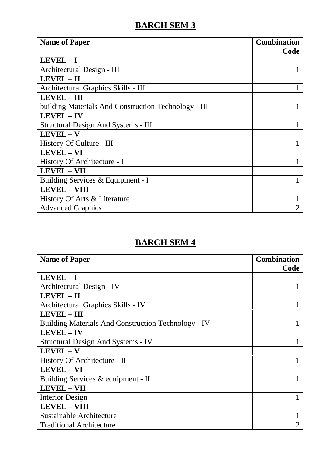| <b>Name of Paper</b>                                 | <b>Combination</b> |
|------------------------------------------------------|--------------------|
|                                                      | Code               |
| $LEVEL - I$                                          |                    |
| Architectural Design - III                           |                    |
| LEVEL - II                                           |                    |
| Architectural Graphics Skills - III                  |                    |
| <b>LEVEL - III</b>                                   |                    |
| building Materials And Construction Technology - III |                    |
| LEVEL-IV                                             |                    |
| Structural Design And Systems - III                  |                    |
| $LEVEL - V$                                          |                    |
| History Of Culture - III                             |                    |
| <b>LEVEL - VI</b>                                    |                    |
| History Of Architecture - I                          |                    |
| <b>LEVEL - VII</b>                                   |                    |
| Building Services & Equipment - I                    |                    |
| <b>LEVEL - VIII</b>                                  |                    |
| History Of Arts & Literature                         | 1                  |
| <b>Advanced Graphics</b>                             | $\overline{2}$     |

| <b>Name of Paper</b>                                       | <b>Combination</b><br>Code |
|------------------------------------------------------------|----------------------------|
| $LEVEL - I$                                                |                            |
| Architectural Design - IV                                  |                            |
| LEVEL-II                                                   |                            |
| Architectural Graphics Skills - IV                         |                            |
| <b>LEVEL-III</b>                                           |                            |
| <b>Building Materials And Construction Technology - IV</b> |                            |
| LEVEL - IV                                                 |                            |
| <b>Structural Design And Systems - IV</b>                  |                            |
| LEVEL - V                                                  |                            |
| History Of Architecture - II                               |                            |
| LEVEL - VI                                                 |                            |
| Building Services & equipment - II                         |                            |
| <b>LEVEL - VII</b>                                         |                            |
| <b>Interior Design</b>                                     |                            |
| <b>LEVEL - VIII</b>                                        |                            |
| Sustainable Architecture                                   |                            |
| <b>Traditional Architecture</b>                            | 2                          |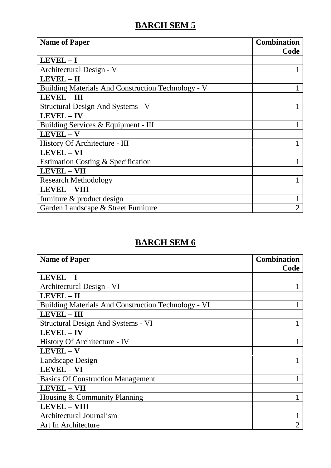| <b>Name of Paper</b>                               | <b>Combination</b> |
|----------------------------------------------------|--------------------|
|                                                    | Code               |
| $LEVEL - I$                                        |                    |
| Architectural Design - V                           |                    |
| LEVEL - II                                         |                    |
| Building Materials And Construction Technology - V |                    |
| LEVEL - III                                        |                    |
| Structural Design And Systems - V                  |                    |
| LEVEL-IV                                           |                    |
| Building Services & Equipment - III                |                    |
| LEVEL-V                                            |                    |
| History Of Architecture - III                      |                    |
| <b>LEVEL - VI</b>                                  |                    |
| Estimation Costing & Specification                 |                    |
| <b>LEVEL - VII</b>                                 |                    |
| <b>Research Methodology</b>                        |                    |
| <b>LEVEL - VIII</b>                                |                    |
| furniture & product design                         |                    |
| Garden Landscape & Street Furniture                | $\overline{2}$     |

| <b>Name of Paper</b>                                | <b>Combination</b><br>Code |
|-----------------------------------------------------|----------------------------|
| $LEVEL - I$                                         |                            |
| Architectural Design - VI                           |                            |
| LEVEL-II                                            |                            |
| Building Materials And Construction Technology - VI |                            |
| <b>LEVEL-III</b>                                    |                            |
| Structural Design And Systems - VI                  |                            |
| <b>LEVEL-IV</b>                                     |                            |
| History Of Architecture - IV                        |                            |
| LEVEL - V                                           |                            |
| Landscape Design                                    |                            |
| LEVEL - VI                                          |                            |
| <b>Basics Of Construction Management</b>            |                            |
| <b>LEVEL - VII</b>                                  |                            |
| Housing & Community Planning                        |                            |
| <b>LEVEL - VIII</b>                                 |                            |
| Architectural Journalism                            |                            |
| Art In Architecture                                 | $\overline{2}$             |